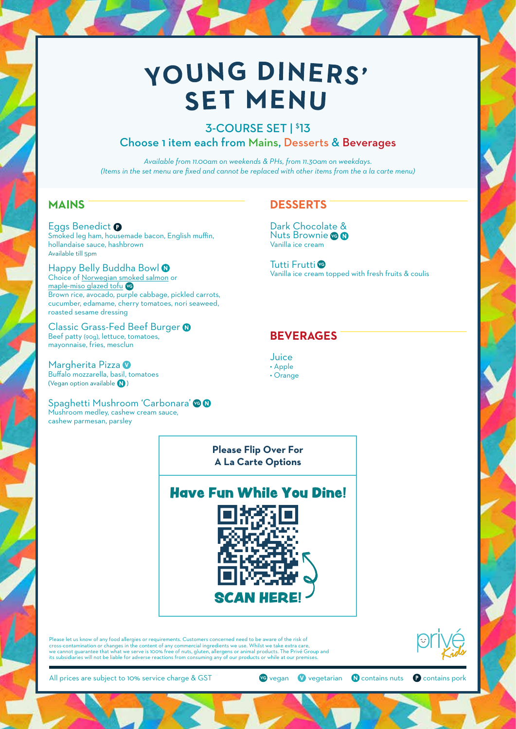# YOUNG DINERS' **SET MENU**

# 3-COURSE SET | \$ 13 Choose 1 item each from Mains, Desserts & Beverages

*Available from 11.00am on weekends & PHs, from 11.30am on weekdays. (Items in the set menu are fixed and cannot be replaced with other items from the a la carte menu)*

## **MAINS**

Eggs Benedict <sup>O</sup> Smoked leg ham, housemade bacon, English muffin, hollandaise sauce, hashbrown Available till 5pm

Happy Belly Buddha Bowl <sup>0</sup> Choice of Norwegian smoked salmon or maple-miso glazed tofu **VG** Brown rice, avocado, purple cabbage, pickled carrots, cucumber, edamame, cherry tomatoes, nori seaweed, roasted sesame dressing

Classic Grass-Fed Beef Burger <sup>0</sup> Beef patty (90g), lettuce, tomatoes, mayonnaise, fries, mesclun

Margherita Pizza <sup>0</sup> Buffalo mozzarella, basil, tomatoes (Vegan option available  $\bigcirc$ )

Spaghetti Mushroom 'Carbonara' **VG** Mushroom medley, cashew cream sauce, cashew parmesan, parsley

# **DESSERTS**

Dark Chocolate & **Nuts Brownie** Vanilla ice cream

Tutti Frutti **VG** Vanilla ice cream topped with fresh fruits & coulis

## **BEVERAGES**



• Orange

**Please Flip Over For A La Carte Options**



Please let us know of any food allergies or requirements. Customers concerned need to be aware of the risk of cross-contamination or changes in the content of any commercial ingredients we use. Whilst we take extra care,<br>we cannot guarantee that what we serve is 100% free of nuts, gluten, allergens or animal products. The Privé Gr



All prices are subject to 10% service charge & GST **VG** vegan **V** vegetarian **O** contains nuts **C** contains pork